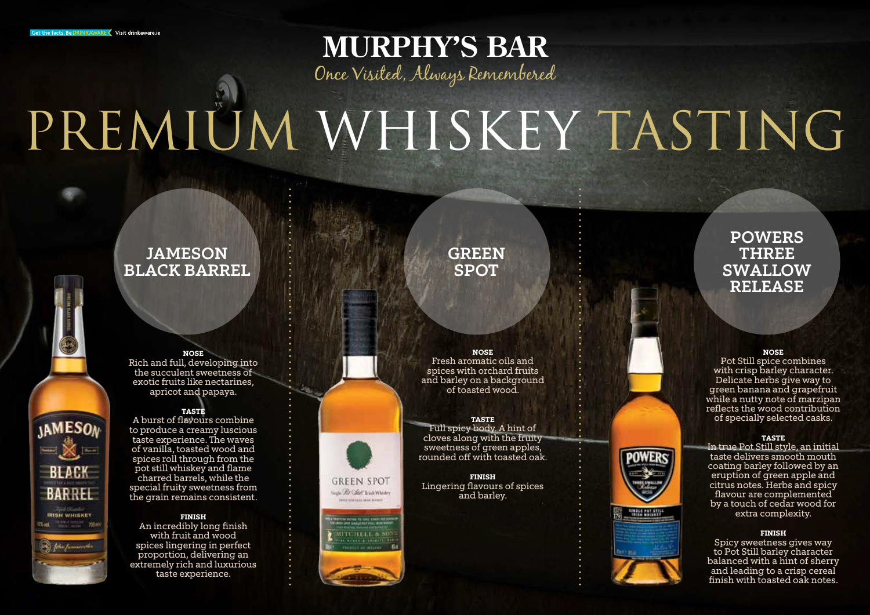**IAMESON**  $= 8$ 

**BLACK** 

**BARREL** 

**JRISH WHISKEY** 

## **MURPHY'S BAR** Once Visited, Always Remembered

# PREMIÜM WHISKEY TASTING

## JAMESON BLACK BARREL



Rich and full, developing into the succulent sweetness of exotic fruits like nectarines, apricot and papaya.

## **Taste**

A burst of flavours combine to produce a creamy luscious taste experience. The waves of vanilla, toasted wood and spices roll through from the pot still whiskey and flame charred barrels, while the special fruity sweetness from the grain remains consistent.

## **Finish**

An incredibly long finish with fruit and wood spices lingering in perfect proportion, delivering an extremely rich and luxurious taste experience.

## **GREEN SPOT**

**Nose**

Fresh aromatic oils and spices with orchard fruits and barley on a background of toasted wood.

### **Taste** Full spicy body. A hint of cloves along with the fruity sweetness of green apples, rounded off with toasted oak.

**Finish** Lingering flavours of spices and barley.

**GREEN SPOT** 

Seale Rt Chief Isich Whister

**MITCHELL &** 

## POWERS THREE SWALLOW RELEASE

#### **Nose**

Pot Still spice combines with crisp barley character. Delicate herbs give way to green banana and grapefruit while a nutty note of marzipan reflects the wood contribution of specially selected casks.

### **Taste**

In true Pot Still style, an initial taste delivers smooth mouth coating barley followed by an eruption of green apple and citrus notes. Herbs and spicy flavour are complemented by a touch of cedar wood for extra complexity.

### **Finish**

Spicy sweetness gives way to Pot Still barley character balanced with a hint of sherry and leading to a crisp cereal finish with toasted oak notes.



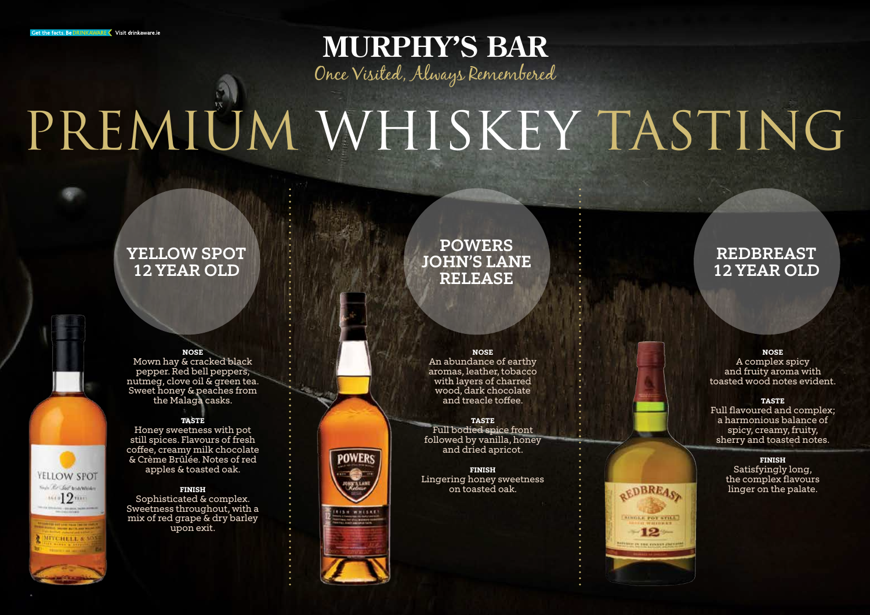**MURPHY'S BAR** Once Visited, Always Remembered

# PREMIÜM WHISKEY TASTING

## YELLOW SPOT 12 YEAR OLD



### **Nose**

Mown hay & cracked black pepper. Red bell peppers, nutmeg, clove oil & green tea. Sweet honey & peaches from the Malaga casks.

## **Taste**

Honey sweetness with pot still spices. Flavours of fresh coffee, creamy milk chocolate & Crème Brûlée. Notes of red apples & toasted oak.

### **Finish**

Sophisticated & complex. Sweetness throughout, with a mix of red grape & dry barley upon exit.

## POWERS JOHN'S LANE RELEASE

**Nose**

An abundance of earthy aromas, leather, tobacco with layers of charred wood, dark chocolate and treacle toffee.

**Taste** Full bodied spice front followed by vanilla, honey and dried apricot.

**Finish** Lingering honey sweetness on toasted oak.

## REDBREAST 12 YEAR OLD

### **Nose** A complex spicy and fruity aroma with toasted wood notes evident.

### **Taste** Full flavoured and complex; a harmonious balance of spicy, creamy, fruity, sherry and toasted notes.



**OEDBREAS** 

AUGUST FOT STILL  $-12-$ 



POWER!